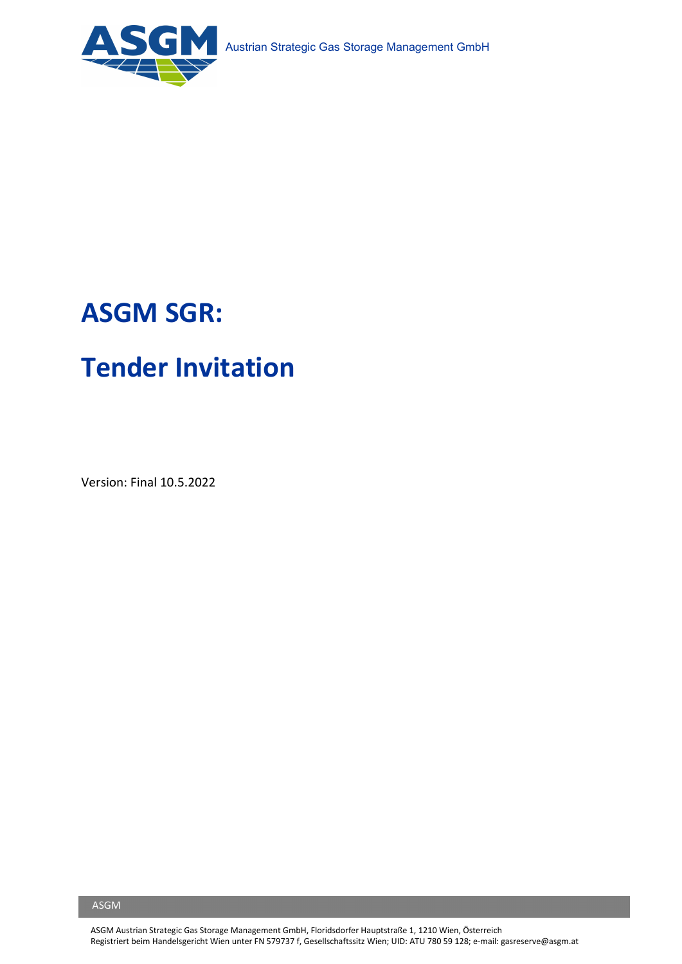

# ASGM SGR:

# Tender Invitation

Version: Final 10.5.2022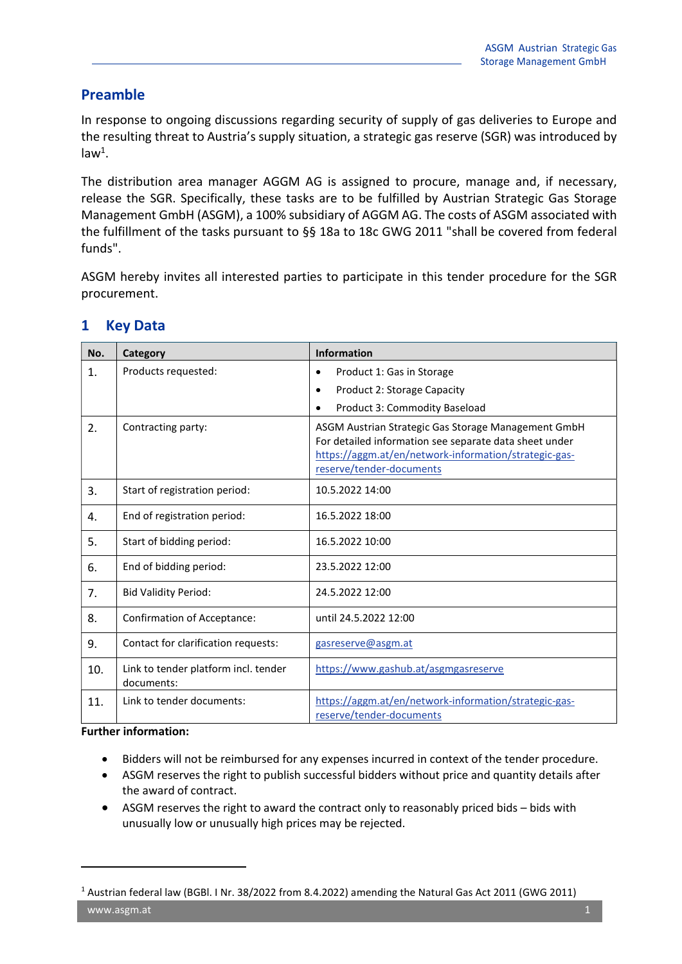#### Preamble

In response to ongoing discussions regarding security of supply of gas deliveries to Europe and the resulting threat to Austria's supply situation, a strategic gas reserve (SGR) was introduced by  $law<sup>1</sup>$ .

The distribution area manager AGGM AG is assigned to procure, manage and, if necessary, release the SGR. Specifically, these tasks are to be fulfilled by Austrian Strategic Gas Storage Management GmbH (ASGM), a 100% subsidiary of AGGM AG. The costs of ASGM associated with the fulfillment of the tasks pursuant to §§ 18a to 18c GWG 2011 "shall be covered from federal funds".

ASGM hereby invites all interested parties to participate in this tender procedure for the SGR procurement.

| No.            | Category                                           | <b>Information</b>                                                                                                                                                                                 |  |
|----------------|----------------------------------------------------|----------------------------------------------------------------------------------------------------------------------------------------------------------------------------------------------------|--|
| $\mathbf{1}$ . | Products requested:                                | Product 1: Gas in Storage<br>٠                                                                                                                                                                     |  |
|                |                                                    | Product 2: Storage Capacity<br>$\bullet$                                                                                                                                                           |  |
|                |                                                    | Product 3: Commodity Baseload<br>$\bullet$                                                                                                                                                         |  |
| 2.             | Contracting party:                                 | ASGM Austrian Strategic Gas Storage Management GmbH<br>For detailed information see separate data sheet under<br>https://aggm.at/en/network-information/strategic-gas-<br>reserve/tender-documents |  |
| 3.             | Start of registration period:                      | 10.5.2022 14:00                                                                                                                                                                                    |  |
| 4.             | End of registration period:                        | 16.5.2022 18:00                                                                                                                                                                                    |  |
| 5.             | Start of bidding period:                           | 16.5.2022 10:00                                                                                                                                                                                    |  |
| 6.             | End of bidding period:                             | 23.5.2022 12:00                                                                                                                                                                                    |  |
| 7.             | <b>Bid Validity Period:</b>                        | 24.5.2022 12:00                                                                                                                                                                                    |  |
| 8.             | <b>Confirmation of Acceptance:</b>                 | until 24.5.2022 12:00                                                                                                                                                                              |  |
| 9.             | Contact for clarification requests:                | gasreserve@asgm.at                                                                                                                                                                                 |  |
| 10.            | Link to tender platform incl. tender<br>documents: | https://www.gashub.at/asgmgasreserve                                                                                                                                                               |  |
| 11.            | Link to tender documents:                          | https://aggm.at/en/network-information/strategic-gas-<br>reserve/tender-documents                                                                                                                  |  |

### 1 Key Data

Further information:

- Bidders will not be reimbursed for any expenses incurred in context of the tender procedure.
- ASGM reserves the right to publish successful bidders without price and quantity details after the award of contract.
- ASGM reserves the right to award the contract only to reasonably priced bids bids with unusually low or unusually high prices may be rejected.

 $1$  Austrian federal law (BGBl. I Nr. 38/2022 from 8.4.2022) amending the Natural Gas Act 2011 (GWG 2011)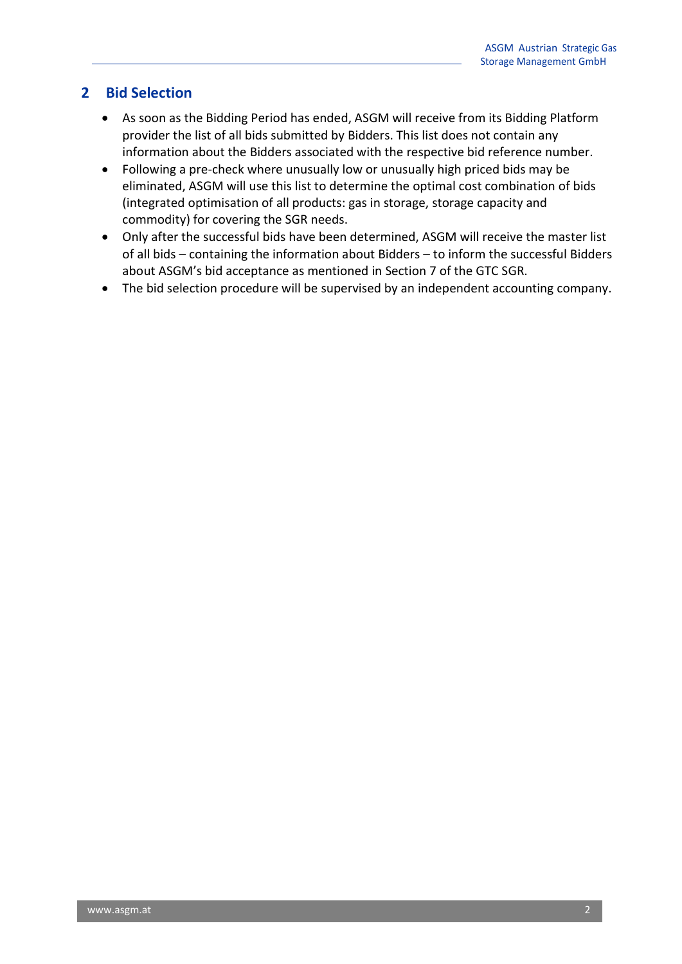### 2 Bid Selection

- As soon as the Bidding Period has ended, ASGM will receive from its Bidding Platform provider the list of all bids submitted by Bidders. This list does not contain any information about the Bidders associated with the respective bid reference number.
- Following a pre-check where unusually low or unusually high priced bids may be eliminated, ASGM will use this list to determine the optimal cost combination of bids (integrated optimisation of all products: gas in storage, storage capacity and commodity) for covering the SGR needs.
- Only after the successful bids have been determined, ASGM will receive the master list of all bids – containing the information about Bidders – to inform the successful Bidders about ASGM's bid acceptance as mentioned in Section 7 of the GTC SGR.
- The bid selection procedure will be supervised by an independent accounting company.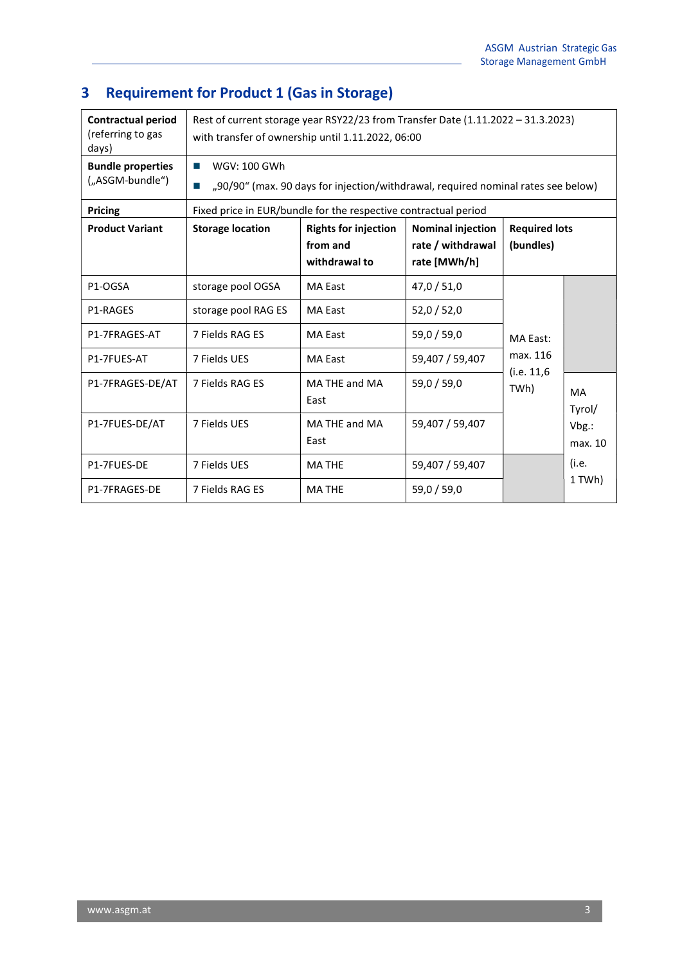## 3 Requirement for Product 1 (Gas in Storage)

| <b>Contractual period</b><br>(referring to gas<br>days) | Rest of current storage year RSY22/23 from Transfer Date (1.11.2022 - 31.3.2023)<br>with transfer of ownership until 1.11.2022, 06:00 |                             |                          |                                             |                     |
|---------------------------------------------------------|---------------------------------------------------------------------------------------------------------------------------------------|-----------------------------|--------------------------|---------------------------------------------|---------------------|
| <b>Bundle properties</b><br>("ASGM-bundle")             | WGV: 100 GWh<br><b>COL</b><br>"90/90" (max. 90 days for injection/withdrawal, required nominal rates see below)<br><b>COL</b>         |                             |                          |                                             |                     |
| <b>Pricing</b>                                          | Fixed price in EUR/bundle for the respective contractual period                                                                       |                             |                          |                                             |                     |
| <b>Product Variant</b>                                  | <b>Storage location</b>                                                                                                               | <b>Rights for injection</b> | <b>Nominal injection</b> | <b>Required lots</b>                        |                     |
|                                                         |                                                                                                                                       | from and                    | rate / withdrawal        | (bundles)                                   |                     |
|                                                         |                                                                                                                                       | withdrawal to               | rate [MWh/h]             |                                             |                     |
| P1-OGSA                                                 | storage pool OGSA                                                                                                                     | <b>MA East</b>              | 47,0 / 51,0              | MA East:<br>max. 116<br>(i.e. 11,6)<br>TWh) |                     |
| <b>P1-RAGES</b>                                         | storage pool RAG ES                                                                                                                   | <b>MA East</b>              | 52,0/52,0                |                                             |                     |
| P1-7FRAGES-AT                                           | 7 Fields RAG ES                                                                                                                       | <b>MA East</b>              | 59,0/59,0                |                                             |                     |
| P1-7FUES-AT                                             | 7 Fields UES                                                                                                                          | <b>MA East</b>              | 59.407 / 59.407          |                                             |                     |
| P1-7FRAGES-DE/AT                                        | 7 Fields RAG ES                                                                                                                       | MA THE and MA<br>East       | 59,0/59,0                |                                             | <b>MA</b><br>Tyrol/ |
| P1-7FUES-DE/AT                                          | 7 Fields UES                                                                                                                          | MA THE and MA<br>East       | 59,407 / 59,407          |                                             | Vbg.:<br>max. 10    |
| P1-7FUES-DE                                             | 7 Fields UES                                                                                                                          | <b>MA THE</b>               | 59,407 / 59,407          |                                             | (i.e.               |
| P1-7FRAGES-DE                                           | 7 Fields RAG ES                                                                                                                       | <b>MATHE</b>                | 59,0/59,0                |                                             | 1 TWh)              |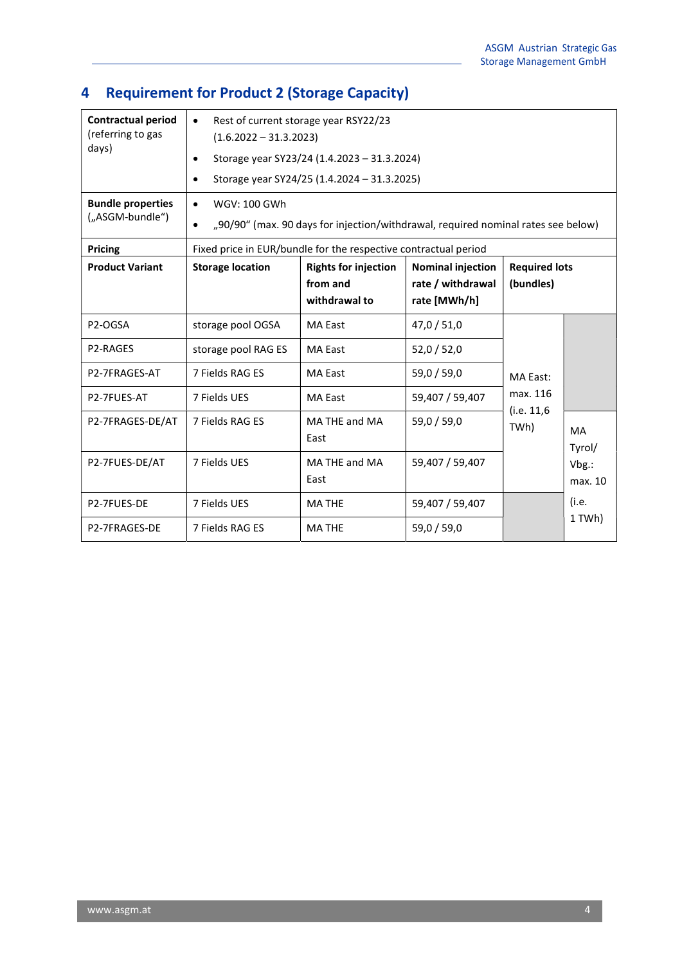## 4 Requirement for Product 2 (Storage Capacity)

| <b>Contractual period</b><br>(referring to gas<br>days) | Rest of current storage year RSY22/23<br>$\bullet$<br>$(1.6.2022 - 31.3.2023)$<br>Storage year SY23/24 (1.4.2023 - 31.3.2024)<br>$\bullet$<br>Storage year SY24/25 (1.4.2024 - 31.3.2025)<br>$\bullet$ |                             |                          |                                      |                  |
|---------------------------------------------------------|--------------------------------------------------------------------------------------------------------------------------------------------------------------------------------------------------------|-----------------------------|--------------------------|--------------------------------------|------------------|
| <b>Bundle properties</b><br>("ASGM-bundle")             | WGV: 100 GWh<br>$\bullet$                                                                                                                                                                              |                             |                          |                                      |                  |
|                                                         | "90/90" (max. 90 days for injection/withdrawal, required nominal rates see below)                                                                                                                      |                             |                          |                                      |                  |
| <b>Pricing</b>                                          | Fixed price in EUR/bundle for the respective contractual period                                                                                                                                        |                             |                          |                                      |                  |
| <b>Product Variant</b>                                  | <b>Storage location</b>                                                                                                                                                                                | <b>Rights for injection</b> | <b>Nominal injection</b> | <b>Required lots</b>                 |                  |
|                                                         |                                                                                                                                                                                                        | from and                    | rate / withdrawal        | (bundles)                            |                  |
|                                                         |                                                                                                                                                                                                        | withdrawal to               | rate [MWh/h]             |                                      |                  |
| P2-OGSA                                                 | storage pool OGSA                                                                                                                                                                                      | <b>MA East</b>              | 47,0 / 51,0              | MA East:<br>max. 116<br>(i.e. 11, 6) |                  |
| P2-RAGES                                                | storage pool RAG ES                                                                                                                                                                                    | <b>MA East</b>              | 52,0 / 52,0              |                                      |                  |
| P2-7FRAGES-AT                                           | 7 Fields RAG ES                                                                                                                                                                                        | <b>MA East</b>              | 59,0/59,0                |                                      |                  |
| P2-7FUES-AT                                             | 7 Fields UES                                                                                                                                                                                           | <b>MA East</b>              | 59,407 / 59,407          |                                      |                  |
| P2-7FRAGES-DE/AT                                        | 7 Fields RAG ES                                                                                                                                                                                        | MA THE and MA<br>East       | 59,0 / 59,0              | TWh)                                 | MA<br>Tyrol/     |
| P2-7FUES-DE/AT                                          | 7 Fields UES                                                                                                                                                                                           | MA THE and MA<br>East       | 59,407 / 59,407          |                                      | Vbg.:<br>max. 10 |
| P2-7FUES-DE                                             | 7 Fields UES                                                                                                                                                                                           | <b>MATHE</b>                | 59,407 / 59,407          |                                      | (i.e.            |
| P2-7FRAGES-DE                                           | 7 Fields RAG ES                                                                                                                                                                                        | <b>MATHE</b>                | 59,0 / 59,0              |                                      | 1 TWh)           |